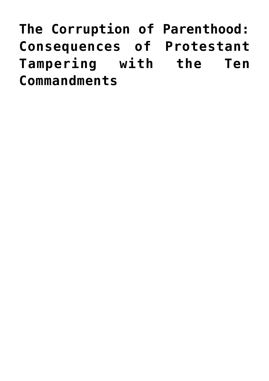**[The Corruption of Parenthood:](https://www.newenglishreview.org/articles/the-corruption-of-parenthood-consequences-of-protestant-tampering-with-the-ten-commandments/) [Consequences of Protestant](https://www.newenglishreview.org/articles/the-corruption-of-parenthood-consequences-of-protestant-tampering-with-the-ten-commandments/) [Tampering with the Ten](https://www.newenglishreview.org/articles/the-corruption-of-parenthood-consequences-of-protestant-tampering-with-the-ten-commandments/) [Commandments](https://www.newenglishreview.org/articles/the-corruption-of-parenthood-consequences-of-protestant-tampering-with-the-ten-commandments/)**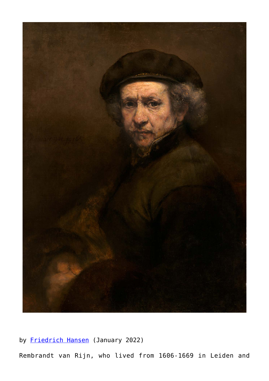

by **Friedrich Hansen** (January 2022)

Rembrandt van Rijn, who lived from 1606-1669 in Leiden and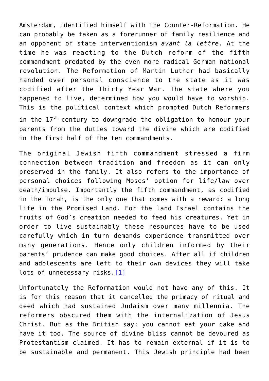Amsterdam, identified himself with the Counter-Reformation. He can probably be taken as a forerunner of family resilience and an opponent of state interventionism *avant la lettre*. At the time he was reacting to the Dutch reform of the fifth commandment predated by the even more radical German national revolution. The Reformation of Martin Luther had basically handed over personal conscience to the state as it was codified after the Thirty Year War. The state where you happened to live, determined how you would have to worship. This is the political context which prompted Dutch Reformers in the  $17<sup>th</sup>$  century to downgrade the obligation to honour your parents from the duties toward the divine which are codified in the first half of the ten commandments.

The original Jewish fifth commandment stressed a firm connection between tradition and freedom as it can only preserved in the family. It also refers to the importance of personal choices following Moses' option for life/law over death/impulse. Importantly the fifth commandment, as codified in the Torah, is the only one that comes with a reward: a long life in the Promised Land. For the land Israel contains the fruits of God's creation needed to feed his creatures. Yet in order to live sustainably these resources have to be used carefully which in turn demands experience transmitted over many generations. Hence only children informed by their parents' prudence can make good choices. After all if children and adolescents are left to their own devices they will take lots of unnecessary risks.[\[1\]](https://www.newenglishreview.org/custpage.cfm?frm=191007&sec_id=191007#_ftn1)

Unfortunately the Reformation would not have any of this. It is for this reason that it cancelled the primacy of ritual and deed which had sustained Judaism over many millennia. The reformers obscured them with the internalization of Jesus Christ. But as the British say: you cannot eat your cake and have it too. The source of divine bliss cannot be devoured as Protestantism claimed. It has to remain external if it is to be sustainable and permanent. This Jewish principle had been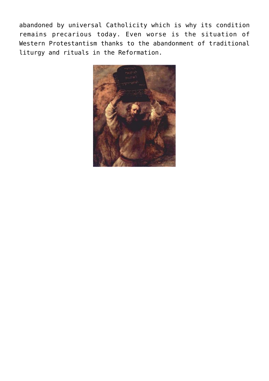abandoned by universal Catholicity which is why its condition remains precarious today. Even worse is the situation of Western Protestantism thanks to the abandonment of traditional liturgy and rituals in the Reformation.

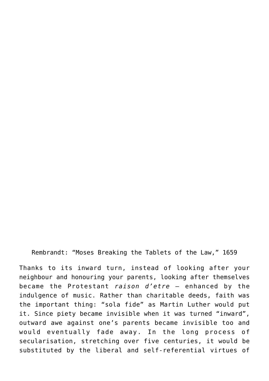Rembrandt: "Moses Breaking the Tablets of the Law," 1659

Thanks to its inward turn, instead of looking after your neighbour and honouring your parents, looking after themselves became the Protestant *raison d'etre –* enhanced by the indulgence of music. Rather than charitable deeds, faith was the important thing: "sola fide" as Martin Luther would put it. Since piety became invisible when it was turned "inward", outward awe against one's parents became invisible too and would eventually fade away. In the long process of secularisation, stretching over five centuries, it would be substituted by the liberal and self-referential virtues of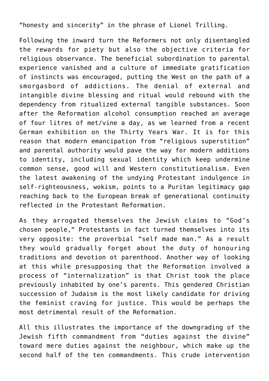"honesty and sincerity" in the phrase of Lionel Trilling.

Following the inward turn the Reformers not only disentangled the rewards for piety but also the objective criteria for religious observance. The beneficial subordination to parental experience vanished and a culture of immediate gratification of instincts was encouraged, putting the West on the path of a smorgasbord of addictions. The denial of external and intangible divine blessing and ritual would rebound with the dependency from ritualized external tangible substances. Soon after the Reformation alcohol consumption reached an average of four litres of met/vine a day, as we learned from a recent German exhibition on the Thirty Years War. It is for this reason that modern emancipation from "religious superstition" and parental authority would pave the way for modern additions to identity, including sexual identity which keep undermine common sense, good will and Western constitutionalism. Even the latest awakening of the undying Protestant indulgence in self-righteousness, wokism, points to a Puritan legitimacy gap reaching back to the European break of generational continuity reflected in the Protestant Reformation.

As they arrogated themselves the Jewish claims to "God's chosen people," Protestants in fact turned themselves into its very opposite: the proverbial "self made man." As a result they would gradually forget about the duty of honouring traditions and devotion ot parenthood. Another way of looking at this while presupposing that the Reformation involved a process of "internalization" is that Christ took the place previously inhabited by one's parents. This gendered Christian succession of Judaism is the most likely candidate for driving the feminist craving for justice. This would be perhaps the most detrimental result of the Reformation.

All this illustrates the importance of the downgrading of the Jewish fifth commandment from "duties against the divine" toward mere duties against the neighbour, which make up the second half of the ten commandments. This crude intervention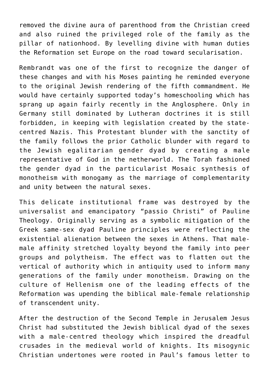removed the divine aura of parenthood from the Christian creed and also ruined the privileged role of the family as the pillar of nationhood. By levelling divine with human duties the Reformation set Europe on the road toward secularisation.

Rembrandt was one of the first to recognize the danger of these changes and with his Moses painting he reminded everyone to the original Jewish rendering of the fifth commandment. He would have certainly supported today's homeschooling which has sprang up again fairly recently in the Anglosphere. Only in Germany still dominated by Lutheran doctrines it is still forbidden, in keeping with legislation created by the statecentred Nazis. This Protestant blunder with the sanctity of the family follows the prior Catholic blunder with regard to the Jewish egalitarian gender dyad by creating a male representative of God in the netherworld. The Torah fashioned the gender dyad in the particularist Mosaic synthesis of monotheism with monogamy as the marriage of complementarity and unity between the natural sexes.

This delicate institutional frame was destroyed by the universalist and emancipatory "passio Christi" of Pauline Theology. Originally serving as a symbolic mitigation of the Greek same-sex dyad Pauline principles were reflecting the existential alienation between the sexes in Athens. That malemale affinity stretched loyalty beyond the family into peer groups and polytheism. The effect was to flatten out the vertical of authority which in antiquity used to inform many generations of the family under monotheism. Drawing on the culture of Hellenism one of the leading effects of the Reformation was upending the biblical male-female relationship of transcendent unity.

After the destruction of the Second Temple in Jerusalem Jesus Christ had substituted the Jewish biblical dyad of the sexes with a male-centred theology which inspired the dreadful crusades in the medieval world of knights. Its misogynic Christian undertones were rooted in Paul's famous letter to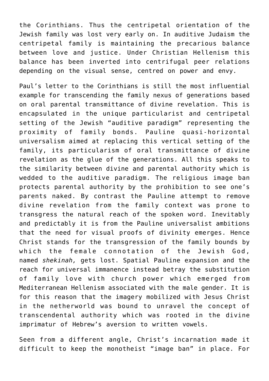the Corinthians. Thus the centripetal orientation of the Jewish family was lost very early on. In auditive Judaism the centripetal family is maintaining the precarious balance between love and justice. Under Christian Hellenism this balance has been inverted into centrifugal peer relations depending on the visual sense, centred on power and envy.

Paul's letter to the Corinthians is still the most influential example for transcending the family nexus of generations based on oral parental transmittance of divine revelation. This is encapsulated in the unique particularist and centripetal setting of the Jewish "auditive paradigm" representing the proximity of family bonds. Pauline quasi-horizontal universalism aimed at replacing this vertical setting of the family, its particularism of oral transmittance of divine revelation as the glue of the generations. All this speaks to the similarity between divine and parental authority which is wedded to the auditive paradigm. The religious image ban protects parental authority by the prohibition to see one's parents naked. By contrast the Pauline attempt to remove divine revelation from the family context was prone to transgress the natural reach of the spoken word. Inevitably and predictably it is from the Pauline universalist ambitions that the need for visual proofs of divinity emerges. Hence Christ stands for the transgression of the family bounds by which the female connotation of the Jewish God, named *shekinah,* gets lost. Spatial Pauline expansion and the reach for universal immanence instead betray the substitution of family love with church power which emerged from Mediterranean Hellenism associated with the male gender. It is for this reason that the imagery mobilized with Jesus Christ in the netherworld was bound to unravel the concept of transcendental authority which was rooted in the divine imprimatur of Hebrew's aversion to written vowels.

Seen from a different angle, Christ's incarnation made it difficult to keep the monotheist "image ban" in place. For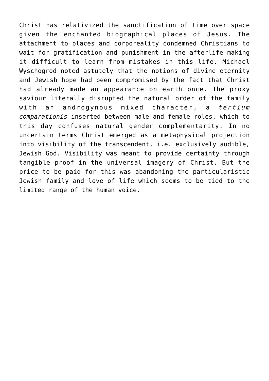Christ has relativized the sanctification of time over space given the enchanted biographical places of Jesus. The attachment to places and corporeality condemned Christians to wait for gratification and punishment in the afterlife making it difficult to learn from mistakes in this life. Michael Wyschogrod noted astutely that the notions of divine eternity and Jewish hope had been compromised by the fact that Christ had already made an appearance on earth once. The proxy saviour literally disrupted the natural order of the family with an androgynous mixed character, a *tertium comparationis* inserted between male and female roles, which to this day confuses natural gender complementarity. In no uncertain terms Christ emerged as a metaphysical projection into visibility of the transcendent, i.e. exclusively audible, Jewish God. Visibility was meant to provide certainty through tangible proof in the universal imagery of Christ. But the price to be paid for this was abandoning the particularistic Jewish family and love of life which seems to be tied to the limited range of the human voice.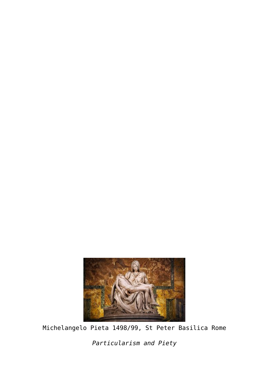

Michelangelo Pieta 1498/99, St Peter Basilica Rome

*Particularism and Piety*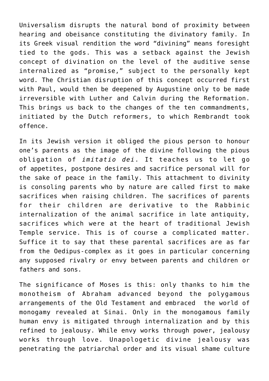Universalism disrupts the natural bond of proximity between hearing and obeisance constituting the divinatory family. In its Greek visual rendition the word "divining" means foresight tied to the gods. This was a setback against the Jewish concept of divination on the level of the auditive sense internalized as "promise," subject to the personally kept word. The Christian disruption of this concept occurred first with Paul, would then be deepened by Augustine only to be made irreversible with Luther and Calvin during the Reformation. This brings us back to the changes of the ten commandments, initiated by the Dutch reformers, to which Rembrandt took offence.

In its Jewish version it obliged the pious person to honour one's parents as the image of the divine following the pious obligation of *imitatio dei*. It teaches us to let go of appetites, postpone desires and sacrifice personal will for the sake of peace in the family. This attachment to divinity is consoling parents who by nature are called first to make sacrifices when raising children. The sacrifices of parents for their children are derivative to the Rabbinic internalization of the animal sacrifice in late antiquity, sacrifices which were at the heart of traditional Jewish Temple service. This is of course a complicated matter. Suffice it to say that these parental sacrifices are as far from the Oedipus-complex as it goes in particular concerning any supposed rivalry or envy between parents and children or fathers and sons.

The significance of Moses is this: only thanks to him the monotheism of Abraham advanced beyond the polygamous arrangements of the Old Testament and embraced the world of monogamy revealed at Sinai. Only in the monogamous family human envy is mitigated through internalization and by this refined to jealousy. While envy works through power, jealousy works through love. Unapologetic divine jealousy was penetrating the patriarchal order and its visual shame culture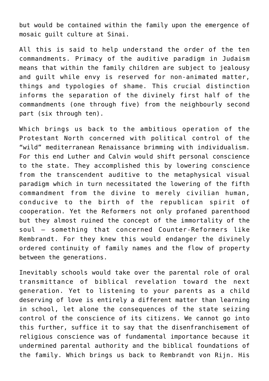but would be contained within the family upon the emergence of mosaic guilt culture at Sinai.

All this is said to help understand the order of the ten commandments. Primacy of the auditive paradigm in Judaism means that within the family children are subject to jealousy and guilt while envy is reserved for non-animated matter, things and typologies of shame. This crucial distinction informs the separation of the divinely first half of the commandments (one through five) from the neighbourly second part (six through ten).

Which brings us back to the ambitious operation of the Protestant North concerned with political control of the "wild" mediterranean Renaissance brimming with individualism. For this end Luther and Calvin would shift personal conscience to the state. They accomplished this by lowering conscience from the transcendent auditive to the metaphysical visual paradigm which in turn necessitated the lowering of the fifth commandment from the divine to merely civilian human, conducive to the birth of the republican spirit of cooperation. Yet the Reformers not only profaned parenthood but they almost ruined the concept of the immortality of the soul – something that concerned Counter-Reformers like Rembrandt. For they knew this would endanger the divinely ordered continuity of family names and the flow of property between the generations.

Inevitably schools would take over the parental role of oral transmittance of biblical revelation toward the next generation. Yet to listening to your parents as a child deserving of love is entirely a different matter than learning in school, let alone the consequences of the state seizing control of the conscience of its citizens. We cannot go into this further, suffice it to say that the disenfranchisement of religious conscience was of fundamental importance because it undermined parental authority and the biblical foundations of the family. Which brings us back to Rembrandt von Rijn. His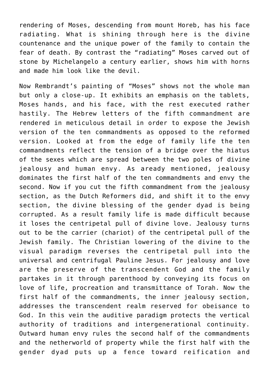rendering of Moses, descending from mount Horeb, has his face radiating. What is shining through here is the divine countenance and the unique power of the family to contain the fear of death. By contrast the "radiating" Moses carved out of stone by Michelangelo a century earlier, shows him with horns and made him look like the devil.

Now Rembrandt's painting of "Moses" shows not the whole man but only a close-up. It exhibits an emphasis on the tablets, Moses hands, and his face, with the rest executed rather hastily. The Hebrew letters of the fifth commandment are rendered in meticulous detail in order to expose the Jewish version of the ten commandments as opposed to the reformed version. Looked at from the edge of family life the ten commandments reflect the tension of a bridge over the hiatus of the sexes which are spread between the two poles of divine jealousy and human envy. As aready mentioned, jealousy dominates the first half of the ten commandments and envy the second. Now if you cut the fifth commandment from the jealousy section, as the Dutch Reformers did, and shift it to the envy section, the divine blessing of the gender dyad is being corrupted. As a result family life is made difficult because it loses the centripetal pull of divine love. Jealousy turns out to be the carrier (chariot) of the centripetal pull of the Jewish family. The Christian lowering of the divine to the visual paradigm reverses the centripetal pull into the universal and centrifugal Pauline Jesus. For jealousy and love are the preserve of the transcendent God and the family partakes in it through parenthood by conveying its focus on love of life, procreation and transmittance of Torah. Now the first half of the commandments, the inner jealousy section, addresses the transcendent realm reserved for obeisance to God. In this vein the auditive paradigm protects the vertical authority of traditions and intergenerational continuity. Outward human envy rules the second half of the commandments and the netherworld of property while the first half with the gender dyad puts up a fence toward reification and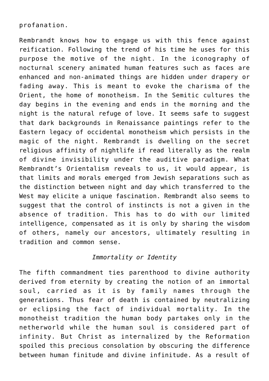## profanation.

Rembrandt knows how to engage us with this fence against reification. Following the trend of his time he uses for this purpose the motive of the night. In the iconography of nocturnal scenery animated human features such as faces are enhanced and non-animated things are hidden under drapery or fading away. This is meant to evoke the charisma of the Orient, the home of monotheism. In the Semitic cultures the day begins in the evening and ends in the morning and the night is the natural refuge of love. It seems safe to suggest that dark backgrounds in Renaissance paintings refer to the Eastern legacy of occidental monotheism which persists in the magic of the night. Rembrandt is dwelling on the secret religious affinity of nightlife if read literally as the realm of divine invisibility under the auditive paradigm. What Rembrandt's Orientalism reveals to us, it would appear, is that limits and morals emerged from Jewish separations such as the distinction between night and day which transferred to the West may elicite a unique fascination. Rembrandt also seems to suggest that the control of instincts is not a given in the absence of tradition. This has to do with our limited intelligence, compensated as it is only by sharing the wisdom of others, namely our ancestors, ultimately resulting in tradition and common sense.

## *Immortality or Identity*

The fifth commandment ties parenthood to divine authority derived from eternity by creating the notion of an immortal soul, carried as it is by family names through the generations. Thus fear of death is contained by neutralizing or eclipsing the fact of individual mortality. In the monotheist tradition the human body partakes only in the netherworld while the human soul is considered part of infinity. But Christ as internalized by the Reformation spoiled this precious consolation by obscuring the difference between human finitude and divine infinitude. As a result of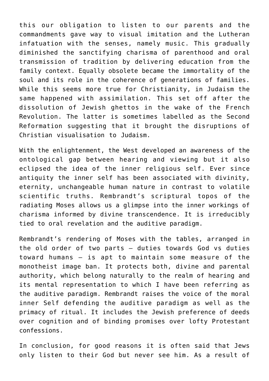this our obligation to listen to our parents and the commandments gave way to visual imitation and the Lutheran infatuation with the senses, namely music. This gradually diminished the sanctifying charisma of parenthood and oral transmission of tradition by delivering education from the family context. Equally obsolete became the immortality of the soul and its role in the coherence of generations of families. While this seems more true for Christianity, in Judaism the same happened with assimilation. This set off after the dissolution of Jewish ghettos in the wake of the French Revolution. The latter is sometimes labelled as the Second Reformation suggesting that it brought the disruptions of Christian visualisation to Judaism.

With the enlightenment, the West developed an awareness of the ontological gap between hearing and viewing but it also eclipsed the idea of the inner religious self. Ever since antiquity the inner self has been associated with divinity, eternity, unchangeable human nature in contrast to volatile scientific truths. Rembrandt's scriptural topos of the radiating Moses allows us a glimpse into the inner workings of charisma informed by divine transcendence. It is irreducibly tied to oral revelation and the auditive paradigm.

Rembrandt's rendering of Moses with the tables, arranged in the old order of two parts – duties towards God vs duties toward humans – is apt to maintain some measure of the monotheist image ban. It protects both, divine and parental authority, which belong naturally to the realm of hearing and its mental representation to which I have been referring as the auditive paradigm. Rembrandt raises the voice of the moral inner Self defending the auditive paradigm as well as the primacy of ritual. It includes the Jewish preference of deeds over cognition and of binding promises over lofty Protestant confessions.

In conclusion, for good reasons it is often said that Jews only listen to their God but never see him. As a result of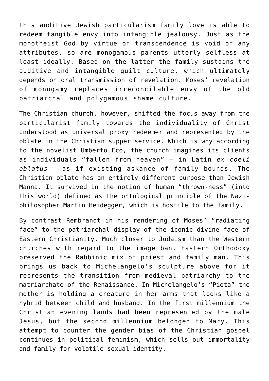this auditive Jewish particularism family love is able to redeem tangible envy into intangible jealousy. Just as the monotheist God by virtue of transcendence is void of any attributes, so are monogamous parents utterly selfless at least ideally. Based on the latter the family sustains the auditive and intangible guilt culture, which ultimately depends on oral transmission of revelation. Moses' revelation of monogamy replaces irreconcilable envy of the old patriarchal and polygamous shame culture.

The Christian church, however, shifted the focus away from the particularist family towards the individuality of Christ understood as universal proxy redeemer and represented by the oblate in the Christian supper service. Which is why according to the novelist Umberto Eco, the church imagines its clients as individuals "fallen from heaven" – in Latin *ex coeli oblatus –* as if existing askance of family bounds. The Christian oblate has an entirely different purpose than Jewish Manna. It survived in the notion of human "thrown-ness" (into this world) defined as the ontological principle of the Naziphilosopher Martin Heidegger, which is hostile to the family.

By contrast Rembrandt in his rendering of Moses' "radiating face" to the patriarchal display of the iconic divine face of Eastern Christianity. Much closer to Judaism than the Western churches with regard to the image ban, Eastern Orthodoxy preserved the Rabbinic mix of priest and family man. This brings us back to Michelangelo's sculpture above for it represents the transition from medieval patriarchy to the matriarchate of the Renaissance. In Michelangelo's "Pieta" the mother is holding a creature in her arms that looks like a hybrid between child and husband. In the first millennium the Christian evening lands had been represented by the male Jesus, but the second millennium belonged to Mary. This attempt to counter the gender bias of the Christian gospel continues in political feminism, which sells out immortality and family for volatile sexual identity.